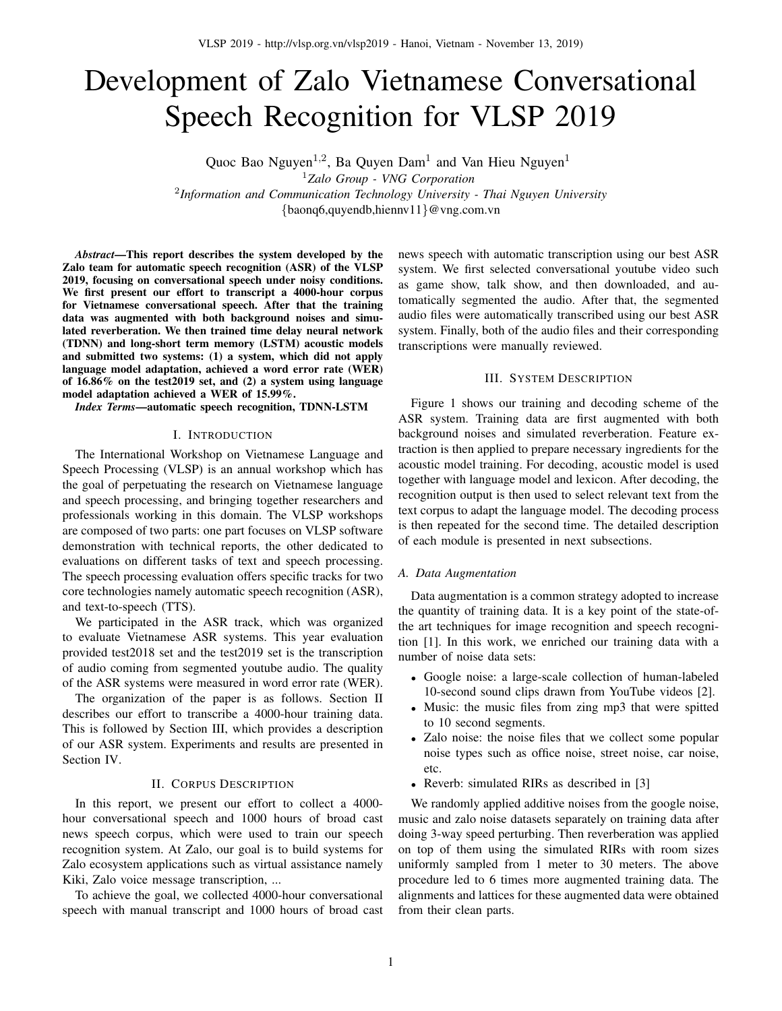# Development of Zalo Vietnamese Conversational Speech Recognition for VLSP 2019

Quoc Bao Nguyen<sup>1,2</sup>, Ba Quyen Dam<sup>1</sup> and Van Hieu Nguyen<sup>1</sup>

<sup>1</sup>*Zalo Group - VNG Corporation* 2 *Information and Communication Technology University - Thai Nguyen University* {baonq6,quyendb,hiennv11}@vng.com.vn

*Abstract*—This report describes the system developed by the Zalo team for automatic speech recognition (ASR) of the VLSP 2019, focusing on conversational speech under noisy conditions. We first present our effort to transcript a 4000-hour corpus for Vietnamese conversational speech. After that the training data was augmented with both background noises and simulated reverberation. We then trained time delay neural network (TDNN) and long-short term memory (LSTM) acoustic models and submitted two systems: (1) a system, which did not apply language model adaptation, achieved a word error rate (WER) of 16.86% on the test2019 set, and (2) a system using language model adaptation achieved a WER of 15.99%.

*Index Terms*—automatic speech recognition, TDNN-LSTM

# I. INTRODUCTION

The International Workshop on Vietnamese Language and Speech Processing (VLSP) is an annual workshop which has the goal of perpetuating the research on Vietnamese language and speech processing, and bringing together researchers and professionals working in this domain. The VLSP workshops are composed of two parts: one part focuses on VLSP software demonstration with technical reports, the other dedicated to evaluations on different tasks of text and speech processing. The speech processing evaluation offers specific tracks for two core technologies namely automatic speech recognition (ASR), and text-to-speech (TTS).

We participated in the ASR track, which was organized to evaluate Vietnamese ASR systems. This year evaluation provided test2018 set and the test2019 set is the transcription of audio coming from segmented youtube audio. The quality of the ASR systems were measured in word error rate (WER).

The organization of the paper is as follows. Section II describes our effort to transcribe a 4000-hour training data. This is followed by Section III, which provides a description of our ASR system. Experiments and results are presented in Section IV.

#### II. CORPUS DESCRIPTION

In this report, we present our effort to collect a 4000 hour conversational speech and 1000 hours of broad cast news speech corpus, which were used to train our speech recognition system. At Zalo, our goal is to build systems for Zalo ecosystem applications such as virtual assistance namely Kiki, Zalo voice message transcription, ...

To achieve the goal, we collected 4000-hour conversational speech with manual transcript and 1000 hours of broad cast news speech with automatic transcription using our best ASR system. We first selected conversational youtube video such as game show, talk show, and then downloaded, and automatically segmented the audio. After that, the segmented audio files were automatically transcribed using our best ASR system. Finally, both of the audio files and their corresponding transcriptions were manually reviewed.

## III. SYSTEM DESCRIPTION

Figure 1 shows our training and decoding scheme of the ASR system. Training data are first augmented with both background noises and simulated reverberation. Feature extraction is then applied to prepare necessary ingredients for the acoustic model training. For decoding, acoustic model is used together with language model and lexicon. After decoding, the recognition output is then used to select relevant text from the text corpus to adapt the language model. The decoding process is then repeated for the second time. The detailed description of each module is presented in next subsections.

#### *A. Data Augmentation*

Data augmentation is a common strategy adopted to increase the quantity of training data. It is a key point of the state-ofthe art techniques for image recognition and speech recognition [1]. In this work, we enriched our training data with a number of noise data sets:

- Google noise: a large-scale collection of human-labeled 10-second sound clips drawn from YouTube videos [2].
- Music: the music files from zing mp3 that were spitted to 10 second segments.
- Zalo noise: the noise files that we collect some popular noise types such as office noise, street noise, car noise, etc.
- Reverb: simulated RIRs as described in [3]

We randomly applied additive noises from the google noise, music and zalo noise datasets separately on training data after doing 3-way speed perturbing. Then reverberation was applied on top of them using the simulated RIRs with room sizes uniformly sampled from 1 meter to 30 meters. The above procedure led to 6 times more augmented training data. The alignments and lattices for these augmented data were obtained from their clean parts.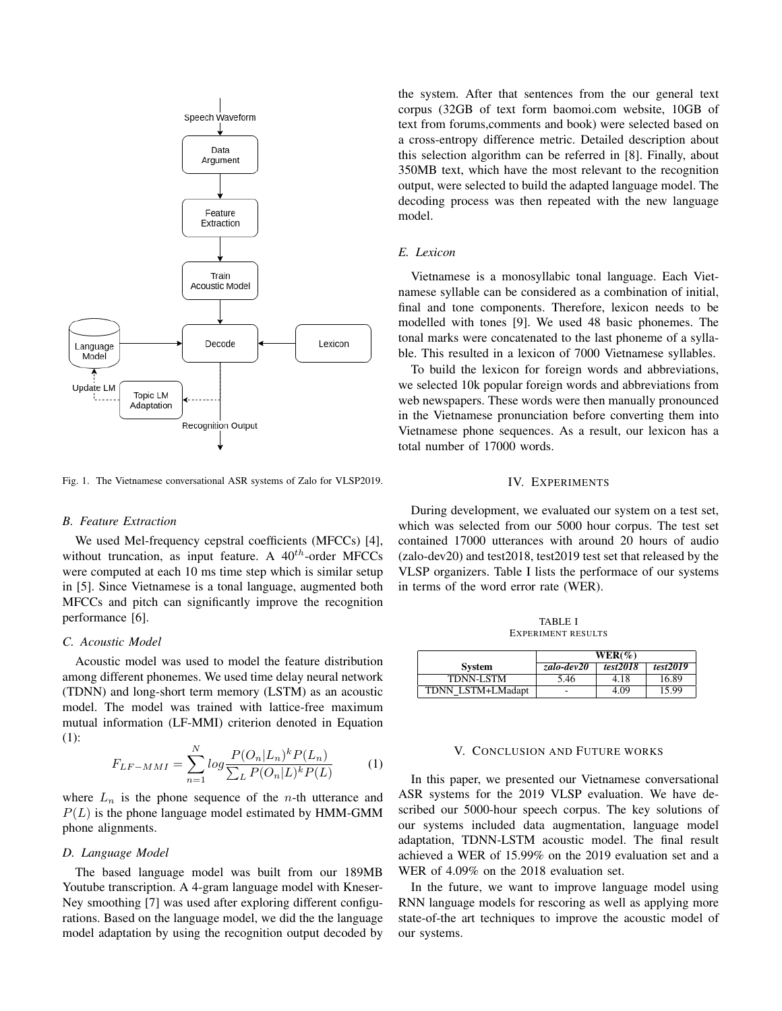

Fig. 1. The Vietnamese conversational ASR systems of Zalo for VLSP2019.

## *B. Feature Extraction*

We used Mel-frequency cepstral coefficients (MFCCs) [4], without truncation, as input feature. A  $40^{th}$ -order MFCCs were computed at each 10 ms time step which is similar setup in [5]. Since Vietnamese is a tonal language, augmented both MFCCs and pitch can significantly improve the recognition performance [6].

# *C. Acoustic Model*

Acoustic model was used to model the feature distribution among different phonemes. We used time delay neural network (TDNN) and long-short term memory (LSTM) as an acoustic model. The model was trained with lattice-free maximum mutual information (LF-MMI) criterion denoted in Equation (1):

$$
F_{LF-MMI} = \sum_{n=1}^{N} \log \frac{P(O_n | L_n)^k P(L_n)}{\sum_{L} P(O_n | L)^k P(L)}
$$
(1)

where  $L_n$  is the phone sequence of the *n*-th utterance and  $P(L)$  is the phone language model estimated by HMM-GMM phone alignments.

#### *D. Language Model*

The based language model was built from our 189MB Youtube transcription. A 4-gram language model with Kneser-Ney smoothing [7] was used after exploring different configurations. Based on the language model, we did the the language model adaptation by using the recognition output decoded by the system. After that sentences from the our general text corpus (32GB of text form baomoi.com website, 10GB of text from forums,comments and book) were selected based on a cross-entropy difference metric. Detailed description about this selection algorithm can be referred in [8]. Finally, about 350MB text, which have the most relevant to the recognition output, were selected to build the adapted language model. The decoding process was then repeated with the new language model.

# *E. Lexicon*

Vietnamese is a monosyllabic tonal language. Each Vietnamese syllable can be considered as a combination of initial, final and tone components. Therefore, lexicon needs to be modelled with tones [9]. We used 48 basic phonemes. The tonal marks were concatenated to the last phoneme of a syllable. This resulted in a lexicon of 7000 Vietnamese syllables.

To build the lexicon for foreign words and abbreviations, we selected 10k popular foreign words and abbreviations from web newspapers. These words were then manually pronounced in the Vietnamese pronunciation before converting them into Vietnamese phone sequences. As a result, our lexicon has a total number of 17000 words.

## IV. EXPERIMENTS

During development, we evaluated our system on a test set, which was selected from our 5000 hour corpus. The test set contained 17000 utterances with around 20 hours of audio (zalo-dev20) and test2018, test2019 test set that released by the VLSP organizers. Table I lists the performace of our systems in terms of the word error rate (WER).

TABLE I EXPERIMENT RESULTS

|                   | $WER(\%)$  |          |          |
|-------------------|------------|----------|----------|
| <b>System</b>     | zalo-dev20 | test2018 | test2019 |
| <b>TDNN-LSTM</b>  | 5.46       | 4.18     | 16.89    |
| TDNN LSTM+LMadapt | -          | 4.09     | 15.99    |

# V. CONCLUSION AND FUTURE WORKS

In this paper, we presented our Vietnamese conversational ASR systems for the 2019 VLSP evaluation. We have described our 5000-hour speech corpus. The key solutions of our systems included data augmentation, language model adaptation, TDNN-LSTM acoustic model. The final result achieved a WER of 15.99% on the 2019 evaluation set and a WER of 4.09% on the 2018 evaluation set.

In the future, we want to improve language model using RNN language models for rescoring as well as applying more state-of-the art techniques to improve the acoustic model of our systems.